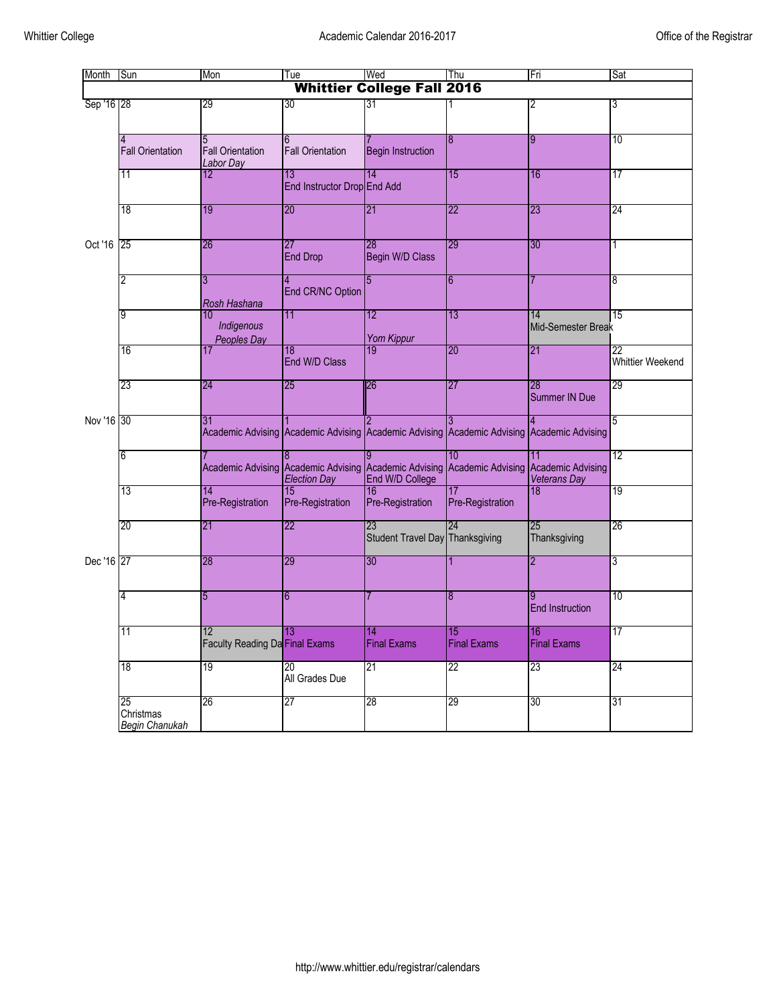| Month      | Sun                                      | Mon                                         | Tue                                | Wed                                   | Thu                                                                                       | Fri                       | Sat                           |
|------------|------------------------------------------|---------------------------------------------|------------------------------------|---------------------------------------|-------------------------------------------------------------------------------------------|---------------------------|-------------------------------|
|            |                                          |                                             |                                    | <b>Whittier College Fall 2016</b>     |                                                                                           |                           |                               |
| Sep '16 28 |                                          | 29                                          | 30                                 | 31                                    |                                                                                           | 2                         | 3                             |
|            | 4<br><b>Fall Orientation</b>             | 5<br><b>Fall Orientation</b><br>Labor Day   | 6<br><b>Fall Orientation</b>       | <b>Begin Instruction</b>              | 8                                                                                         | 9                         | 10                            |
|            | 11                                       | 12                                          | 13<br>End Instructor Drop End Add  | 14                                    | 15                                                                                        | 16                        | 17                            |
| Oct '16    | 18                                       | 19                                          | 20                                 | 21                                    | 22                                                                                        | 23                        | 24                            |
|            | 25                                       | 26                                          | $\overline{27}$<br><b>End Drop</b> | 28<br>Begin W/D Class                 | 29                                                                                        | 30                        | 1                             |
|            | 2                                        | 3<br>Rosh Hashana                           | End CR/NC Option                   | 5                                     | 6                                                                                         |                           | 8                             |
|            | 9                                        | 10<br>Indigenous<br>Peoples Day             | 11                                 | 12<br><b>Yom Kippur</b>               | 13                                                                                        | 14<br>Mid-Semester Break  | 15                            |
|            | 16                                       | 17                                          | 18<br>End W/D Class                | 19                                    | 20                                                                                        | 21                        | 22<br><b>Whittier Weekend</b> |
|            | 23                                       | 24                                          | 25                                 | 26                                    | 27                                                                                        | 28<br>Summer IN Due       | 29                            |
| Nov '16 30 |                                          | 31                                          |                                    |                                       | Academic Advising Academic Advising Academic Advising Academic Advising Academic Advising |                           | 5                             |
|            | 6                                        | Academic Advising Academic Advising         | <b>Election Day</b>                | End W/D College                       | 10<br>Academic Advising Academic Advising Academic Advising                               | 11<br><b>Veterans Day</b> | 12                            |
|            | 13                                       | 14<br>Pre-Registration                      | 15<br>Pre-Registration             | 16<br>Pre-Registration                | 17<br>Pre-Registration                                                                    | 18                        | 19                            |
|            | 20                                       | 21                                          | 22                                 | 23<br>Student Travel Day Thanksgiving | 24                                                                                        | 25<br>Thanksgiving        | 26                            |
| Dec '16 27 |                                          | 28                                          | 29                                 | 30                                    |                                                                                           | 2                         | 3                             |
|            | 4                                        | 5                                           | 6                                  |                                       | 8                                                                                         | <b>End Instruction</b>    | 10                            |
|            | 11                                       | 12<br><b>Faculty Reading Da Final Exams</b> | 13                                 | 14<br><b>Final Exams</b>              | 15<br><b>Final Exams</b>                                                                  | 16<br><b>Final Exams</b>  | 17                            |
|            | 18                                       | 19                                          | 20<br>All Grades Due               | 21                                    | 22                                                                                        | 23                        | 24                            |
|            | 25<br>Christmas<br><b>Begin Chanukah</b> | 26                                          | 27                                 | 28                                    | 29                                                                                        | 30                        | 31                            |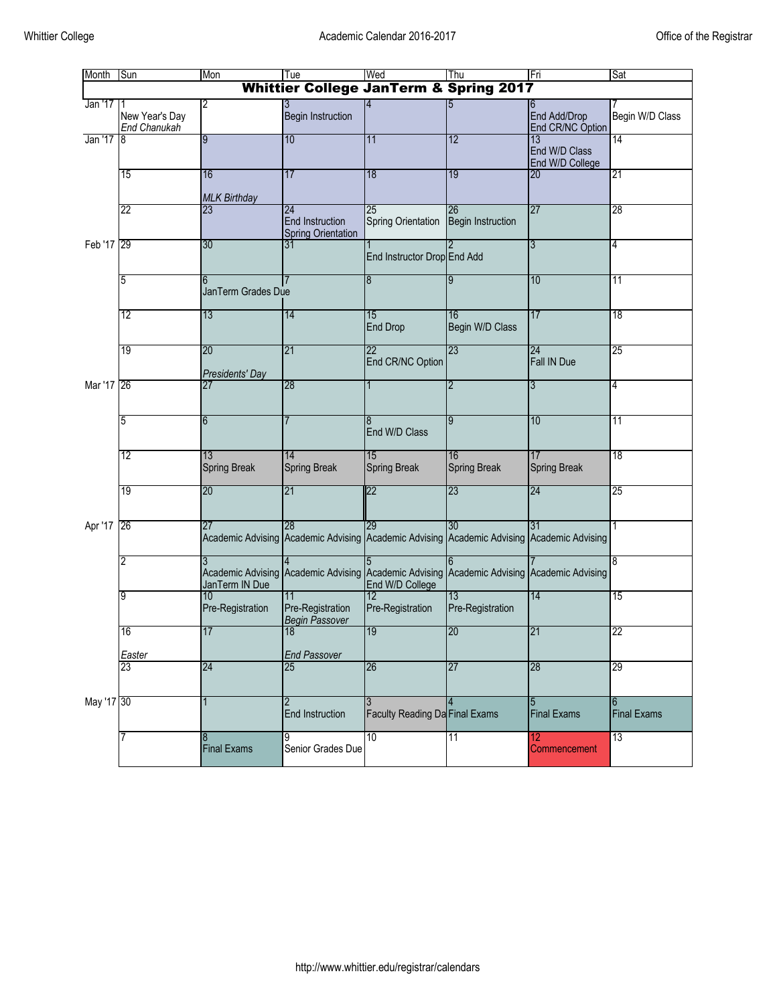| Month                                             | Sun                            | Mon                                        | Tue                                                       | Wed                                                                                             | Thu                            | Fri                                    | Sat                     |  |
|---------------------------------------------------|--------------------------------|--------------------------------------------|-----------------------------------------------------------|-------------------------------------------------------------------------------------------------|--------------------------------|----------------------------------------|-------------------------|--|
| <b>Whittier College JanTerm &amp; Spring 2017</b> |                                |                                            |                                                           |                                                                                                 |                                |                                        |                         |  |
| Jan '17                                           | New Year's Day<br>End Chanukah | 2                                          | <b>Begin Instruction</b>                                  |                                                                                                 |                                | 6<br>End Add/Drop<br>End CR/NC Option  | Begin W/D Class         |  |
| Jan '17                                           | 8                              | 9                                          | 10                                                        | 11                                                                                              | 12                             | 13<br>End W/D Class<br>End W/D College | 14                      |  |
|                                                   | 15                             | 16<br><b>MLK Birthday</b>                  | 17                                                        | 18                                                                                              | 19                             | 20                                     | 21                      |  |
|                                                   | 22                             | 23                                         | 24<br><b>End Instruction</b><br><b>Spring Orientation</b> | 25<br>Spring Orientation                                                                        | 26<br><b>Begin Instruction</b> | 27                                     | 28                      |  |
| Feb '17 29                                        |                                | 30                                         | 31                                                        | End Instructor Drop End Add                                                                     |                                | 3                                      | 4                       |  |
|                                                   | 5                              | JanTerm Grades Due                         |                                                           | 8                                                                                               |                                | 10                                     | $\overline{11}$         |  |
|                                                   | 12                             | 13                                         | 14                                                        | 15<br><b>End Drop</b>                                                                           | 16<br>Begin W/D Class          | 17                                     | 18                      |  |
|                                                   | 19                             | 20<br>Presidents' Day                      | 21                                                        | 22<br>End CR/NC Option                                                                          | 23                             | 24<br>Fall IN Due                      | 25                      |  |
| Mar '17 26                                        |                                |                                            | 28                                                        |                                                                                                 | 2                              | 3                                      | 4                       |  |
|                                                   | 5                              | 6                                          |                                                           | End W/D Class                                                                                   | 9                              | 10                                     | 11                      |  |
|                                                   | 12                             | 13<br><b>Spring Break</b>                  | 14<br><b>Spring Break</b>                                 | 15<br><b>Spring Break</b>                                                                       | 16<br><b>Spring Break</b>      | 17<br><b>Spring Break</b>              | 18                      |  |
|                                                   | 19                             | 20                                         | 21                                                        | 22                                                                                              | 23                             | 24                                     | 25                      |  |
| Apr '17                                           | 26                             | 27                                         | 28                                                        | 29<br>Academic Advising Academic Advising Academic Advising Academic Advising Academic Advising | 30                             | 31                                     | 1                       |  |
|                                                   | 2                              | <b>Academic Advising</b><br>JanTerm IN Due | <b>Academic Advising</b>                                  | Academic Advising Academic Advising Academic Advising<br>End W/D College                        |                                |                                        | 8                       |  |
|                                                   | 9                              | 10<br>Pre-Registration                     | Pre-Registration<br>Begin Passover                        | 12<br>Pre-Registration                                                                          | 13<br>Pre-Registration         | 14                                     | 15                      |  |
|                                                   | 16<br>Easter                   | 17                                         | 18<br><b>End Passover</b>                                 | 19                                                                                              | 20                             | 21                                     | 22                      |  |
|                                                   | 23                             | 24                                         | 25                                                        | 26                                                                                              | 27                             | 28                                     | 29                      |  |
| May '17 30                                        |                                |                                            | End Instruction                                           | <b>Faculty Reading Da Final Exams</b>                                                           |                                | 5<br><b>Final Exams</b>                | 6<br><b>Final Exams</b> |  |
|                                                   |                                | 8<br><b>Final Exams</b>                    | 9<br>Senior Grades Due                                    | 10                                                                                              | 11                             | 12<br>Commencement                     | 13                      |  |